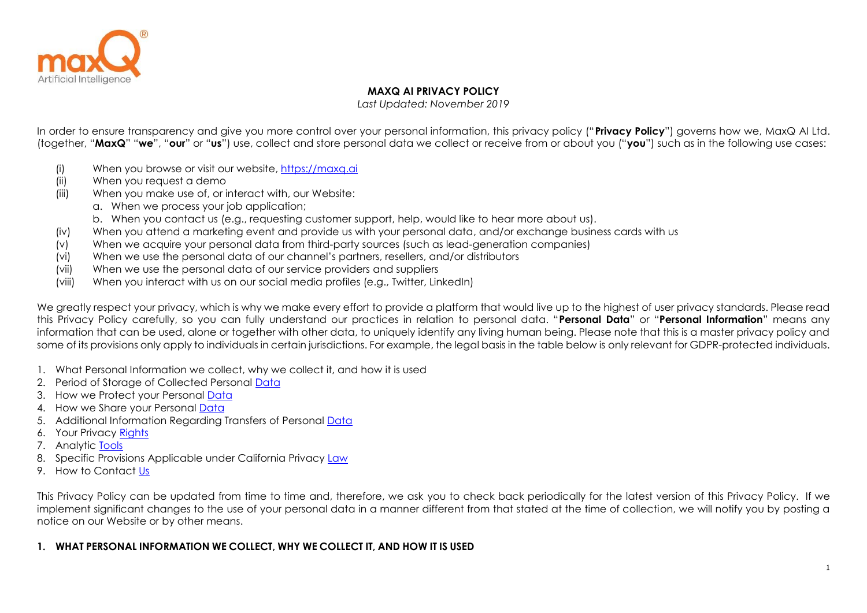

## **MAXQ AI PRIVACY POLICY**

*Last Updated: November 2019*

In order to ensure transparency and give you more control over your personal information, this privacy policy ("**Privacy Policy**") governs how we, MaxQ AI Ltd. (together, "**MaxQ**" "**we**", "**our**" or "**us**") use, collect and store personal data we collect or receive from or about you ("**you**") such as in the following use cases:

- (i) When you browse or visit our website, [https://maxq.ai](https://maxq.ai/)
- (ii) When you request a demo
- (iii) When you make use of, or interact with, our Website:
	- a. When we process your job application;
	- b. When you contact us (e.g., requesting customer support, help, would like to hear more about us).
- (iv) When you attend a marketing event and provide us with your personal data, and/or exchange business cards with us
- (v) When we acquire your personal data from third-party sources (such as lead-generation companies)
- (vi) When we use the personal data of our channel's partners, resellers, and/or distributors
- (vii) When we use the personal data of our service providers and suppliers
- (viii) When you interact with us on our social media profiles (e.g., Twitter, LinkedIn)

We greatly respect your privacy, which is why we make every effort to provide a platform that would live up to the highest of user privacy standards. Please read this Privacy Policy carefully, so you can fully understand our practices in relation to personal data. "**Personal Data**" or "**Personal Information**" means any information that can be used, alone or together with other data, to uniquely identify any living human being. Please note that this is a master privacy policy and some of its provisions only apply to individuals in certain jurisdictions. For example, the legal basis in the table below is only relevant for GDPR-protected individuals.

- 1. What Personal Information we collect, why we collect it, and how it is used
- 2. Period of Storage of Collected Personal [Data](#page-4-0)
- 3. How we Protect your Personal [Data](#page-4-0)
- 4. How we Share your Personal [Data](#page-4-1)
- 5. Additional Information Regarding Transfers of Personal [Data](#page-4-2)
- 6. Your Privacy [Rights](#page-5-0)
- 7. Analytic [Tools](#page-5-1)
- 8. Specific Provisions Applicable under California Privacy [Law](#page-6-0)
- 9. How to Contact [Us](#page-6-1)

This Privacy Policy can be updated from time to time and, therefore, we ask you to check back periodically for the latest version of this Privacy Policy. If we implement significant changes to the use of your personal data in a manner different from that stated at the time of collection, we will notify you by posting a notice on our Website or by other means.

# **1. WHAT PERSONAL INFORMATION WE COLLECT, WHY WE COLLECT IT, AND HOW IT IS USED**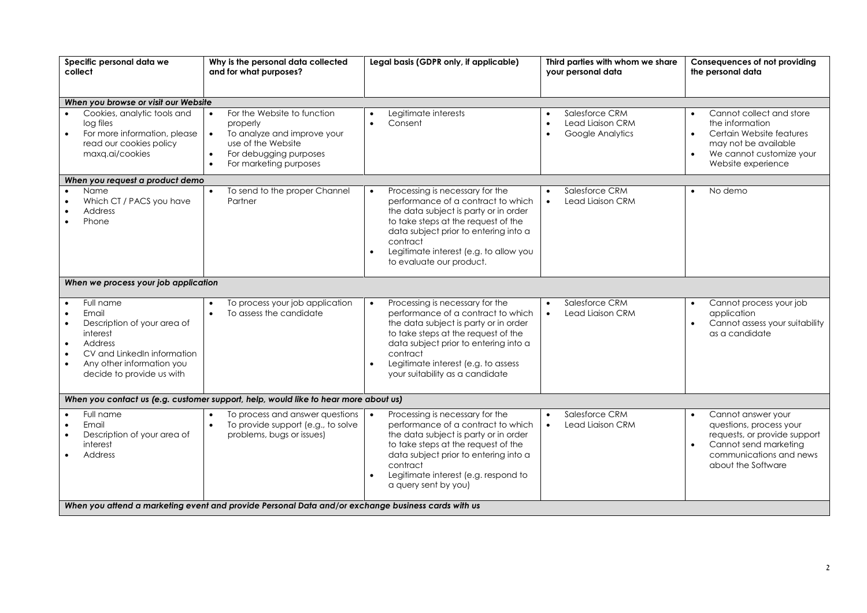| Specific personal data we<br>collect                                                                                                                                                                                  | Why is the personal data collected<br>and for what purposes?                                                                                                                            | Legal basis (GDPR only, if applicable)                                                                                                                                                                                                                                                                         | Third parties with whom we share<br>your personal data                                        | Consequences of not providing<br>the personal data                                                                                                                                       |  |  |
|-----------------------------------------------------------------------------------------------------------------------------------------------------------------------------------------------------------------------|-----------------------------------------------------------------------------------------------------------------------------------------------------------------------------------------|----------------------------------------------------------------------------------------------------------------------------------------------------------------------------------------------------------------------------------------------------------------------------------------------------------------|-----------------------------------------------------------------------------------------------|------------------------------------------------------------------------------------------------------------------------------------------------------------------------------------------|--|--|
| When you browse or visit our Website                                                                                                                                                                                  |                                                                                                                                                                                         |                                                                                                                                                                                                                                                                                                                |                                                                                               |                                                                                                                                                                                          |  |  |
| Cookies, analytic tools and<br>log files<br>For more information, please<br>read our cookies policy<br>maxq.ai/cookies                                                                                                | For the Website to function<br>properly<br>To analyze and improve your<br>$\bullet$<br>use of the Website<br>For debugging purposes<br>$\bullet$<br>For marketing purposes<br>$\bullet$ | Legitimate interests<br>$\bullet$<br>Consent<br>$\bullet$                                                                                                                                                                                                                                                      | Salesforce CRM<br>$\bullet$<br>Lead Liaison CRM<br>$\bullet$<br>Google Analytics<br>$\bullet$ | Cannot collect and store<br>$\bullet$<br>the information<br>Certain Website features<br>$\bullet$<br>may not be available<br>We cannot customize your<br>$\bullet$<br>Website experience |  |  |
| When you request a product demo                                                                                                                                                                                       |                                                                                                                                                                                         |                                                                                                                                                                                                                                                                                                                |                                                                                               |                                                                                                                                                                                          |  |  |
| Name<br>Which CT / PACS you have<br>Address<br>Phone                                                                                                                                                                  | To send to the proper Channel<br>Partner                                                                                                                                                | Processing is necessary for the<br>$\bullet$<br>performance of a contract to which<br>the data subject is party or in order<br>to take steps at the request of the<br>data subject prior to entering into a<br>contract<br>Legitimate interest (e.g. to allow you<br>$\bullet$<br>to evaluate our product.     | Salesforce CRM<br>$\bullet$<br>Lead Liaison CRM<br>$\bullet$                                  | No demo<br>$\bullet$                                                                                                                                                                     |  |  |
| When we process your job application                                                                                                                                                                                  |                                                                                                                                                                                         |                                                                                                                                                                                                                                                                                                                |                                                                                               |                                                                                                                                                                                          |  |  |
| Full name<br>Email<br>Description of your area of<br>$\bullet$<br>interest<br>Address<br>$\bullet$<br>CV and LinkedIn information<br>$\bullet$<br>Any other information you<br>$\bullet$<br>decide to provide us with | To process your job application<br>To assess the candidate                                                                                                                              | Processing is necessary for the<br>$\bullet$<br>performance of a contract to which<br>the data subject is party or in order<br>to take steps at the request of the<br>data subject prior to entering into a<br>contract<br>Legitimate interest (e.g. to assess<br>$\bullet$<br>your suitability as a candidate | Salesforce CRM<br>$\bullet$<br>Lead Liaison CRM<br>$\bullet$                                  | Cannot process your job<br>application<br>Cannot assess your suitability<br>as a candidate                                                                                               |  |  |
|                                                                                                                                                                                                                       | When you contact us (e.g. customer support, help, would like to hear more about us)                                                                                                     |                                                                                                                                                                                                                                                                                                                |                                                                                               |                                                                                                                                                                                          |  |  |
| Full name<br>Email<br>Description of your area of<br>interest<br>Address                                                                                                                                              | To process and answer questions<br>To provide support (e.g., to solve<br>$\bullet$<br>problems, bugs or issues)                                                                         | Processing is necessary for the<br>$\bullet$<br>performance of a contract to which<br>the data subject is party or in order<br>to take steps at the request of the<br>data subject prior to entering into a<br>contract<br>Legitimate interest (e.g. respond to<br>$\bullet$<br>a query sent by you)           | Salesforce CRM<br>$\bullet$<br>Lead Liaison CRM<br>$\bullet$                                  | Cannot answer your<br>questions, process your<br>requests, or provide support<br>Cannot send marketing<br>$\bullet$<br>communications and news<br>about the Software                     |  |  |
| When you attend a marketing event and provide Personal Data and/or exchange business cards with us                                                                                                                    |                                                                                                                                                                                         |                                                                                                                                                                                                                                                                                                                |                                                                                               |                                                                                                                                                                                          |  |  |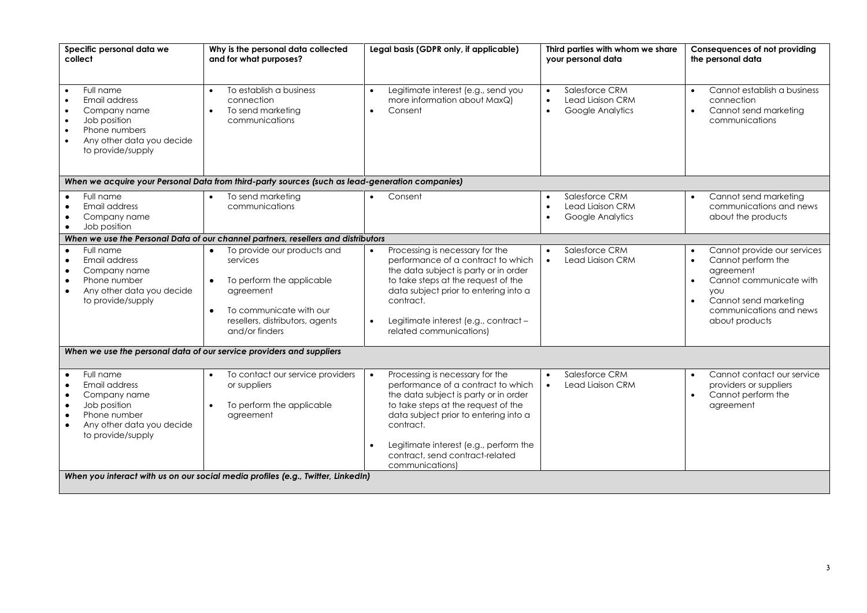| Specific personal data we<br>collect                                                                                                                                              | Why is the personal data collected<br>and for what purposes?                                                                                                                                             | Legal basis (GDPR only, if applicable)                                                                                                                                                                                                                                                                                                | Third parties with whom we share<br>your personal data                                        | Consequences of not providing<br>the personal data                                                                                                                                                                                |  |  |
|-----------------------------------------------------------------------------------------------------------------------------------------------------------------------------------|----------------------------------------------------------------------------------------------------------------------------------------------------------------------------------------------------------|---------------------------------------------------------------------------------------------------------------------------------------------------------------------------------------------------------------------------------------------------------------------------------------------------------------------------------------|-----------------------------------------------------------------------------------------------|-----------------------------------------------------------------------------------------------------------------------------------------------------------------------------------------------------------------------------------|--|--|
| Full name<br>Email address<br>Company name<br>$\bullet$<br>Job position<br>$\bullet$<br>Phone numbers<br>$\bullet$<br>Any other data you decide<br>$\bullet$<br>to provide/supply | To establish a business<br>$\bullet$<br>connection<br>To send marketing<br>$\bullet$<br>communications                                                                                                   | Legitimate interest (e.g., send you<br>$\bullet$<br>more information about MaxQ)<br>Consent<br>$\bullet$                                                                                                                                                                                                                              | Salesforce CRM<br>$\bullet$<br>Lead Liaison CRM<br>$\bullet$<br>Google Analytics<br>$\bullet$ | Cannot establish a business<br>connection<br>Cannot send marketing<br>communications                                                                                                                                              |  |  |
|                                                                                                                                                                                   | When we acquire your Personal Data from third-party sources (such as lead-generation companies)                                                                                                          |                                                                                                                                                                                                                                                                                                                                       |                                                                                               |                                                                                                                                                                                                                                   |  |  |
| Full name<br>Email address<br>$\bullet$<br>Company name<br>Job position                                                                                                           | To send marketing<br>$\bullet$<br>communications                                                                                                                                                         | Consent                                                                                                                                                                                                                                                                                                                               | Salesforce CRM<br>$\bullet$<br>Lead Liaison CRM<br>$\bullet$<br>Google Analytics<br>$\bullet$ | Cannot send marketing<br>communications and news<br>about the products                                                                                                                                                            |  |  |
|                                                                                                                                                                                   | When we use the Personal Data of our channel partners, resellers and distributors                                                                                                                        |                                                                                                                                                                                                                                                                                                                                       |                                                                                               |                                                                                                                                                                                                                                   |  |  |
| Full name<br>Email address<br>Company name<br>$\bullet$<br>Phone number<br>$\bullet$<br>Any other data you decide<br>$\bullet$<br>to provide/supply                               | To provide our products and<br>$\bullet$<br>services<br>To perform the applicable<br>$\bullet$<br>agreement<br>To communicate with our<br>$\bullet$<br>resellers, distributors, agents<br>and/or finders | Processing is necessary for the<br>$\bullet$<br>performance of a contract to which<br>the data subject is party or in order<br>to take steps at the request of the<br>data subject prior to entering into a<br>contract.<br>Legitimate interest (e.g., contract -<br>$\bullet$<br>related communications)                             | Salesforce CRM<br>$\bullet$<br>Lead Liaison CRM<br>$\bullet$                                  | Cannot provide our services<br>$\bullet$<br>Cannot perform the<br>$\bullet$<br>agreement<br>Cannot communicate with<br>$\bullet$<br><b>VOU</b><br>Cannot send marketing<br>$\bullet$<br>communications and news<br>about products |  |  |
| When we use the personal data of our service providers and suppliers                                                                                                              |                                                                                                                                                                                                          |                                                                                                                                                                                                                                                                                                                                       |                                                                                               |                                                                                                                                                                                                                                   |  |  |
| Full name<br>Email address<br>Company name<br>$\bullet$<br>Job position<br>$\bullet$<br>Phone number<br>$\bullet$<br>Any other data you decide<br>$\bullet$<br>to provide/supply  | To contact our service providers<br>$\bullet$<br>or suppliers<br>To perform the applicable<br>$\bullet$<br>agreement                                                                                     | Processing is necessary for the<br>$\bullet$<br>performance of a contract to which<br>the data subject is party or in order<br>to take steps at the request of the<br>data subject prior to entering into a<br>contract.<br>Legitimate interest (e.g., perform the<br>$\bullet$<br>contract, send contract-related<br>communications) | Salesforce CRM<br>$\bullet$<br>Lead Liaison CRM<br>$\bullet$                                  | Cannot contact our service<br>providers or suppliers<br>Cannot perform the<br>$\bullet$<br>agreement                                                                                                                              |  |  |
| When you interact with us on our social media profiles (e.g., Twitter, LinkedIn)                                                                                                  |                                                                                                                                                                                                          |                                                                                                                                                                                                                                                                                                                                       |                                                                                               |                                                                                                                                                                                                                                   |  |  |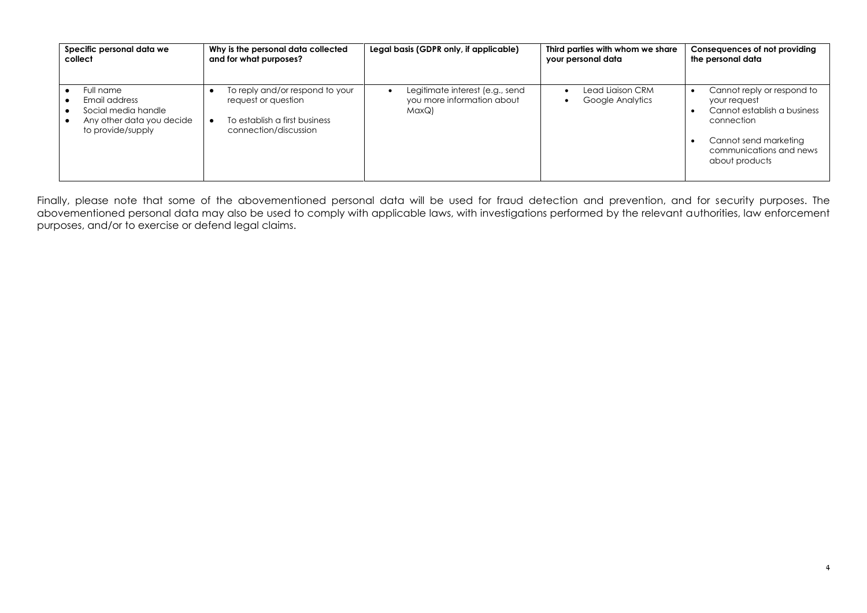| Specific personal data we                                                                           | Why is the personal data collected                                                                               | Legal basis (GDPR only, if applicable)                                 | Third parties with whom we share     | Consequences of not providing                                                                                                                                 |
|-----------------------------------------------------------------------------------------------------|------------------------------------------------------------------------------------------------------------------|------------------------------------------------------------------------|--------------------------------------|---------------------------------------------------------------------------------------------------------------------------------------------------------------|
| collect                                                                                             | and for what purposes?                                                                                           |                                                                        | your personal data                   | the personal data                                                                                                                                             |
| Full name<br>Email address<br>Social media handle<br>Any other data you decide<br>to provide/supply | To reply and/or respond to your<br>request or question<br>To establish a first business<br>connection/discussion | Legitimate interest (e.g., send<br>you more information about<br>MaxQ) | Lead Liaison CRM<br>Google Analytics | Cannot reply or respond to<br>your request<br>Cannot establish a business<br>connection<br>Cannot send marketing<br>communications and news<br>about products |

Finally, please note that some of the abovementioned personal data will be used for fraud detection and prevention, and for security purposes. The abovementioned personal data may also be used to comply with applicable laws, with investigations performed by the relevant authorities, law enforcement purposes, and/or to exercise or defend legal claims.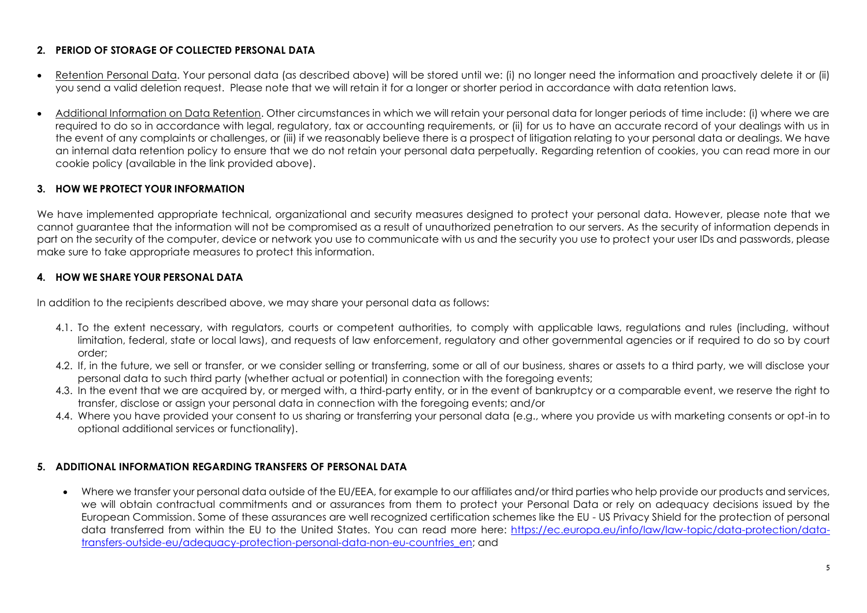# **2. PERIOD OF STORAGE OF COLLECTED PERSONAL DATA**

- Retention Personal Data. Your personal data (as described above) will be stored until we: (i) no longer need the information and proactively delete it or (ii) you send a valid deletion request. Please note that we will retain it for a longer or shorter period in accordance with data retention laws.
- Additional Information on Data Retention. Other circumstances in which we will retain your personal data for longer periods of time include: (i) where we are required to do so in accordance with legal, regulatory, tax or accounting requirements, or (ii) for us to have an accurate record of your dealings with us in the event of any complaints or challenges, or (iii) if we reasonably believe there is a prospect of litigation relating to your personal data or dealings. We have an internal data retention policy to ensure that we do not retain your personal data perpetually. Regarding retention of cookies, you can read more in our cookie policy (available in the link provided above).

## <span id="page-4-0"></span>**3. HOW WE PROTECT YOUR INFORMATION**

We have implemented appropriate technical, organizational and security measures designed to protect your personal data. However, please note that we cannot guarantee that the information will not be compromised as a result of unauthorized penetration to our servers. As the security of information depends in part on the security of the computer, device or network you use to communicate with us and the security you use to protect your user IDs and passwords, please make sure to take appropriate measures to protect this information.

# <span id="page-4-1"></span>**4. HOW WE SHARE YOUR PERSONAL DATA**

In addition to the recipients described above, we may share your personal data as follows:

- 4.1. To the extent necessary, with regulators, courts or competent authorities, to comply with applicable laws, regulations and rules (including, without limitation, federal, state or local laws), and requests of law enforcement, regulatory and other governmental agencies or if required to do so by court order;
- 4.2. If, in the future, we sell or transfer, or we consider selling or transferring, some or all of our business, shares or assets to a third party, we will disclose your personal data to such third party (whether actual or potential) in connection with the foregoing events;
- 4.3. In the event that we are acquired by, or merged with, a third-party entity, or in the event of bankruptcy or a comparable event, we reserve the right to transfer, disclose or assign your personal data in connection with the foregoing events; and/or
- 4.4. Where you have provided your consent to us sharing or transferring your personal data (e.g., where you provide us with marketing consents or opt-in to optional additional services or functionality).

### <span id="page-4-2"></span>**5. ADDITIONAL INFORMATION REGARDING TRANSFERS OF PERSONAL DATA**

• Where we transfer your personal data outside of the EU/EEA, for example to our affiliates and/or third parties who help provide our products and services, we will obtain contractual commitments and or assurances from them to protect your Personal Data or rely on adequacy decisions issued by the European Commission. Some of these assurances are well recognized certification schemes like the EU - US Privacy Shield for the protection of personal data transferred from within the EU to the United States. You can read more here: [https://ec.europa.eu/info/law/law-topic/data-protection/data](https://ec.europa.eu/info/law/law-topic/data-protection/data-transfers-outside-eu/adequacy-protection-personal-data-non-eu-countries_en)[transfers-outside-eu/adequacy-protection-personal-data-non-eu-countries\\_en;](https://ec.europa.eu/info/law/law-topic/data-protection/data-transfers-outside-eu/adequacy-protection-personal-data-non-eu-countries_en) and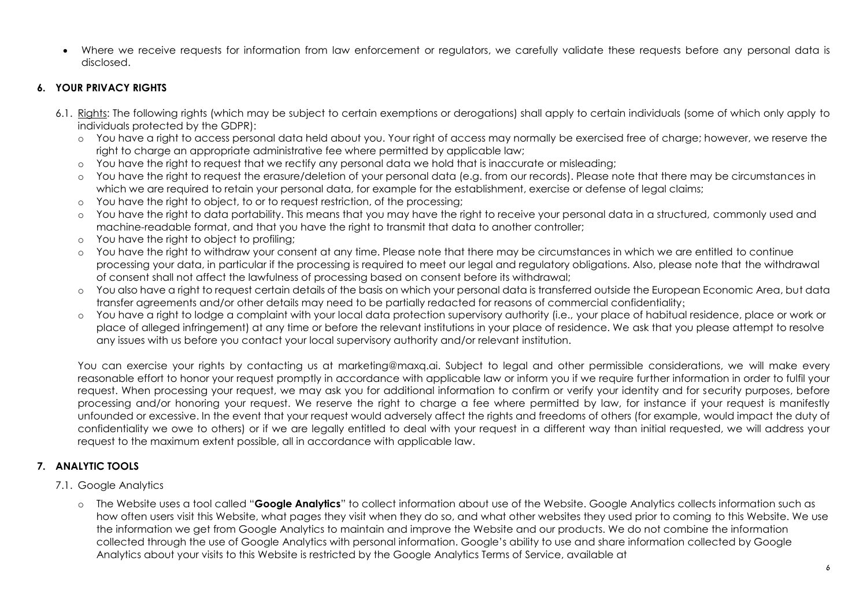• Where we receive requests for information from law enforcement or regulators, we carefully validate these requests before any personal data is disclosed.

# <span id="page-5-0"></span>**6. YOUR PRIVACY RIGHTS**

- 6.1. Rights: The following rights (which may be subject to certain exemptions or derogations) shall apply to certain individuals (some of which only apply to individuals protected by the GDPR):
	- o You have a right to access personal data held about you. Your right of access may normally be exercised free of charge; however, we reserve the right to charge an appropriate administrative fee where permitted by applicable law;
	- o You have the right to request that we rectify any personal data we hold that is inaccurate or misleading;
	- o You have the right to request the erasure/deletion of your personal data (e.g. from our records). Please note that there may be circumstances in which we are required to retain your personal data, for example for the establishment, exercise or defense of legal claims;
	- $\circ$  You have the right to object, to or to request restriction, of the processing:
	- o You have the right to data portability. This means that you may have the right to receive your personal data in a structured, commonly used and machine-readable format, and that you have the right to transmit that data to another controller;
	- o You have the right to object to profiling;
	- o You have the right to withdraw your consent at any time. Please note that there may be circumstances in which we are entitled to continue processing your data, in particular if the processing is required to meet our legal and regulatory obligations. Also, please note that the withdrawal of consent shall not affect the lawfulness of processing based on consent before its withdrawal;
	- o You also have a right to request certain details of the basis on which your personal data is transferred outside the European Economic Area, but data transfer agreements and/or other details may need to be partially redacted for reasons of commercial confidentiality;
	- o You have a right to lodge a complaint with your local data protection supervisory authority (i.e., your place of habitual residence, place or work or place of alleged infringement) at any time or before the relevant institutions in your place of residence. We ask that you please attempt to resolve any issues with us before you contact your local supervisory authority and/or relevant institution.

You can exercise your rights by contacting us at marketing@maxq.ai. Subject to legal and other permissible considerations, we will make every reasonable effort to honor your request promptly in accordance with applicable law or inform you if we require further information in order to fulfil your request. When processing your request, we may ask you for additional information to confirm or verify your identity and for security purposes, before processing and/or honoring your request. We reserve the right to charge a fee where permitted by law, for instance if your request is manifestly unfounded or excessive. In the event that your request would adversely affect the rights and freedoms of others (for example, would impact the duty of confidentiality we owe to others) or if we are legally entitled to deal with your request in a different way than initial requested, we will address your request to the maximum extent possible, all in accordance with applicable law.

# <span id="page-5-1"></span>**7. ANALYTIC TOOLS**

# 7.1. Google Analytics

o The Website uses a tool called "**Google Analytics**" to collect information about use of the Website. Google Analytics collects information such as how often users visit this Website, what pages they visit when they do so, and what other websites they used prior to coming to this Website. We use the information we get from Google Analytics to maintain and improve the Website and our products. We do not combine the information collected through the use of Google Analytics with personal information. Google's ability to use and share information collected by Google Analytics about your visits to this Website is restricted by the Google Analytics Terms of Service, available at